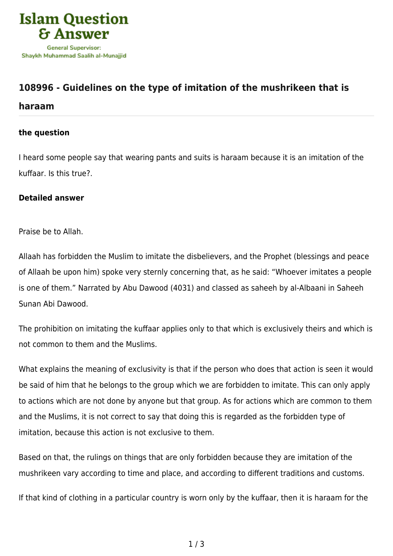

# **[108996 - Guidelines on the type of imitation of the mushrikeen that is](https://islamqa.com/en/answers/108996/guidelines-on-the-type-of-imitation-of-the-mushrikeen-that-is-haraam)**

## **[haraam](https://islamqa.com/en/answers/108996/guidelines-on-the-type-of-imitation-of-the-mushrikeen-that-is-haraam)**

#### **the question**

I heard some people say that wearing pants and suits is haraam because it is an imitation of the kuffaar. Is this true?.

### **Detailed answer**

Praise be to Allah.

Allaah has forbidden the Muslim to imitate the disbelievers, and the Prophet (blessings and peace of Allaah be upon him) spoke very sternly concerning that, as he said: "Whoever imitates a people is one of them." Narrated by Abu Dawood (4031) and classed as saheeh by al-Albaani in Saheeh Sunan Abi Dawood.

The prohibition on imitating the kuffaar applies only to that which is exclusively theirs and which is not common to them and the Muslims.

What explains the meaning of exclusivity is that if the person who does that action is seen it would be said of him that he belongs to the group which we are forbidden to imitate. This can only apply to actions which are not done by anyone but that group. As for actions which are common to them and the Muslims, it is not correct to say that doing this is regarded as the forbidden type of imitation, because this action is not exclusive to them.

Based on that, the rulings on things that are only forbidden because they are imitation of the mushrikeen vary according to time and place, and according to different traditions and customs.

If that kind of clothing in a particular country is worn only by the kuffaar, then it is haraam for the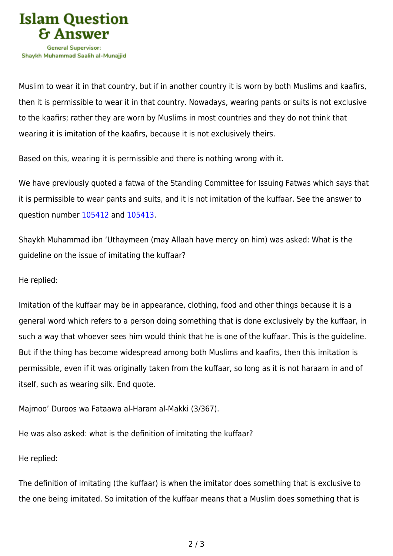

Muslim to wear it in that country, but if in another country it is worn by both Muslims and kaafirs, then it is permissible to wear it in that country. Nowadays, wearing pants or suits is not exclusive to the kaafirs; rather they are worn by Muslims in most countries and they do not think that wearing it is imitation of the kaafirs, because it is not exclusively theirs.

Based on this, wearing it is permissible and there is nothing wrong with it.

We have previously quoted a fatwa of the Standing Committee for Issuing Fatwas which says that it is permissible to wear pants and suits, and it is not imitation of the kuffaar. See the answer to question number [105412](https://islamqa.com/en/answers/105412) and [105413.](https://islamqa.com/ar/answers/)

Shaykh Muhammad ibn 'Uthaymeen (may Allaah have mercy on him) was asked: What is the guideline on the issue of imitating the kuffaar?

#### He replied:

Imitation of the kuffaar may be in appearance, clothing, food and other things because it is a general word which refers to a person doing something that is done exclusively by the kuffaar, in such a way that whoever sees him would think that he is one of the kuffaar. This is the guideline. But if the thing has become widespread among both Muslims and kaafirs, then this imitation is permissible, even if it was originally taken from the kuffaar, so long as it is not haraam in and of itself, such as wearing silk. End quote.

Majmoo' Duroos wa Fataawa al-Haram al-Makki (3/367).

He was also asked: what is the definition of imitating the kuffaar?

He replied:

The definition of imitating (the kuffaar) is when the imitator does something that is exclusive to the one being imitated. So imitation of the kuffaar means that a Muslim does something that is